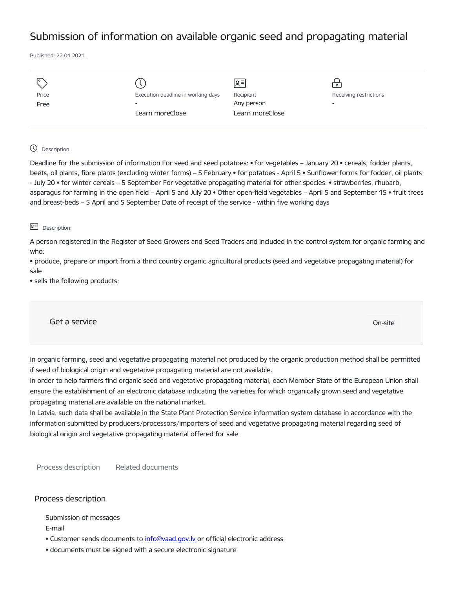# Submission of information on available organic seed and propagating material

Published: 22.01.2021.

| I۰    |                                    | Ջ≡              |                          |
|-------|------------------------------------|-----------------|--------------------------|
| Price | Execution deadline in working days | Recipient       | Receiving restrictions   |
| Free  | $\overline{\phantom{0}}$           | Any person      | $\overline{\phantom{0}}$ |
|       | Learn moreClose                    | Learn moreClose |                          |
|       |                                    |                 |                          |

# Description:

Deadline for the submission of information For seed and seed potatoes: • for vegetables – January 20 • cereals, fodder plants, beets, oil plants, fibre plants (excluding winter forms) – 5 February • for potatoes - April 5 • Sunflower forms for fodder, oil plants - July 20 • for winter cereals – 5 September For vegetative propagating material for other species: • strawberries, rhubarb, asparagus for farming in the open field – April 5 and July 20 • Other open-field vegetables – April 5 and September 15 • fruit trees and breast-beds – 5 April and 5 September Date of receipt of the service - within five working days

# 요<sup>리</sup> Description:

A person registered in the Register of Seed Growers and Seed Traders and included in the control system for organic farming and who:

• produce, prepare or import from a third country organic agricultural products (seed and vegetative propagating material) for sale

• sells the following products:

Get a service only a service on the contract of the contract of the contract of the contract of the contract of the contract of the contract of the contract of the contract of the contract of the contract of the contract o

In organic farming, seed and vegetative propagating material not produced by the organic production method shall be permitted if seed of biological origin and vegetative propagating material are not available.

In order to help farmers find organic seed and vegetative propagating material, each Member State of the European Union shall ensure the establishment of an electronic database indicating the varieties for which organically grown seed and vegetative propagating material are available on the national market.

In Latvia, such data shall be available in the State Plant Protection Service information system database in accordance with the information submitted by producers/processors/importers of seed and vegetative propagating material regarding seed of biological origin and vegetative propagating material offered for sale.

Process description Related documents

# Process description

Submission of messages

E-mail

- Customer sends documents to info@vaad.gov.ly or official electronic address
- documents must be signed with a secure electronic signature